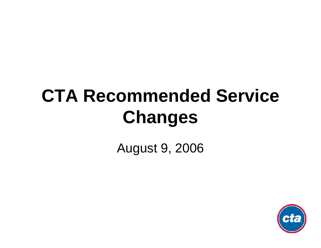# **CTA Recommended Service Changes**

### August 9, 2006

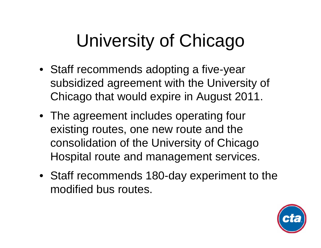# University of Chicago

- Staff recommends adopting a five-year subsidized agreement with the University of Chicago that would expire in August 2011.
- The agreement includes operating four existing routes, one new route and the consolidation of the University of Chicago Hospital route and management services.
- Staff recommends 180-day experiment to the modified bus routes.

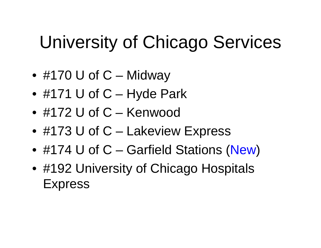# University of Chicago Services

- #170 U of C Midway
- #171 U of C Hyde Park
- #172 U of C Kenwood
- #173 U of C Lakeview Express
- #174 U of C Garfield Stations (New)
- #192 University of Chicago Hospitals Express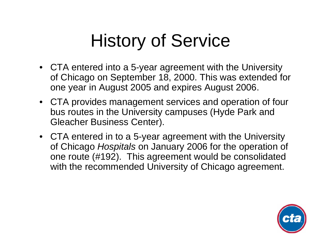# History of Service

- CTA entered into a 5-year agreement with the University of Chicago on September 18, 2000. This was extended for one year in August 2005 and expires August 2006.
- CTA provides management services and operation of four bus routes in the University campuses (Hyde Park and Gleacher Business Center).
- CTA entered in to a 5-year agreement with the University of Chicago *Hospitals* on January 2006 for the operation of one route (#192). This agreement would be consolidated with the recommended University of Chicago agreement.

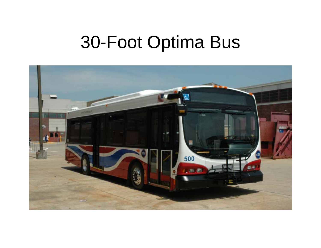# 30-Foot Optima Bus

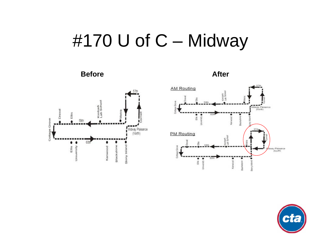# #170 U of C - Midway

#### **Before**



#### **After**



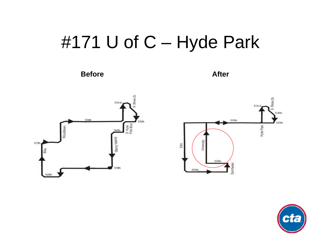# #171 U of C - Hyde Park

**Before** 

**After** 





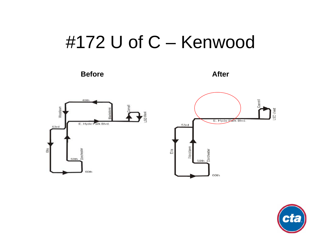## #172 U of C - Kenwood

#### **Before**

**After** 





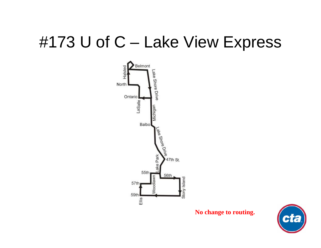### #173 U of C - Lake View Express



No change to routing.

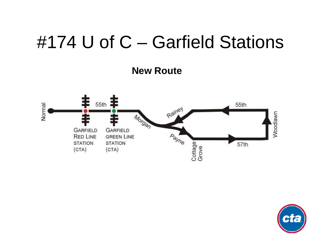## #174 U of C – Garfield Stations

**New Route**



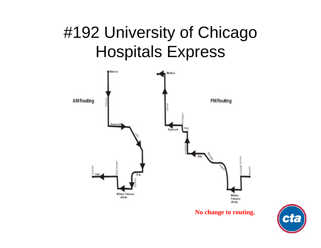### #192 University of Chicago Hospitals Express